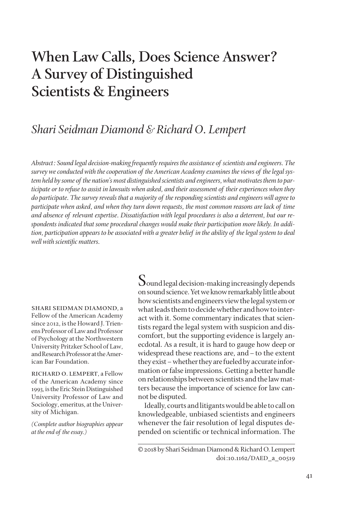# **When Law Calls, Does Science Answer? A Survey of Distinguished Scientists & Engineers**

# *Shari Seidman Diamond & Richard O. Lempert*

*Abstract: Sound legal decision-making frequently requires the assistance of scientists and engineers. The survey we conducted with the cooperation of the American Academy examines the views of the legal system held by some of the nation's most distinguished scientists and engineers, what motivates them to participate or to refuse to assist in lawsuits when asked, and their assessment of their experiences when they do participate. The survey reveals that a majority of the responding scientists and engineers will agree to participate when asked, and when they turn down requests, the most common reasons are lack of time and absence of relevant expertise. Dissatisfaction with legal procedures is also a deterrent, but our respondents indicated that some procedural changes would make their participation more likely. In addition, participation appears to be associated with a greater belief in the ability of the legal system to deal well with scientific matters.*

shari seidman diamond, a Fellow of the American Academy since 2012, is the Howard J. Trienens Professor of Law and Professor of Psychology at the Northwestern University Pritzker School of Law, and Research Professor at the American Bar Foundation.

richardo. lempert, a Fellow of the American Academy since 1993, is the Eric Stein Distinguished University Professor of Law and Sociology, emeritus, at the University of Michigan.

*(Complete author biographies appear at the end of the essay.)*

 ${\mathbf S}$ ound legal decision-making increasingly depends on sound science. Yet we know remarkably little about how scientists and engineers view the legal system or what leads them to decide whether and how to interact with it. Some commentary indicates that scientists regard the legal system with suspicion and discomfort, but the supporting evidence is largely anecdotal. As a result, it is hard to gauge how deep or widespread these reactions are, and–to the extent they exist–whether they are fueled by accurate information or false impressions. Getting a better handle on relationships between scientists and the law matters because the importance of science for law cannot be disputed.

Ideally, courts and litigants would be able to call on knowledgeable, unbiased scientists and engineers whenever the fair resolution of legal disputes depended on scientific or technical information. The

© 2018 by Shari Seidman Diamond & Richard O. Lempert doi:10.1162/DAED\_a\_00519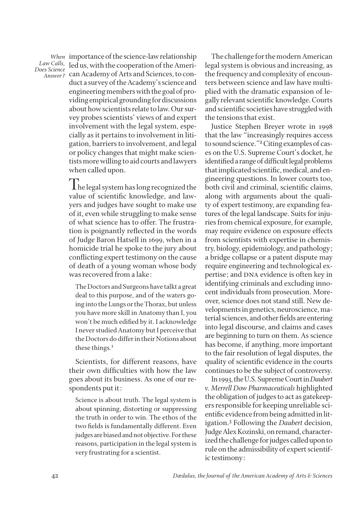*When*  importance of the science-law relationship *Law Calls,*  led us, with the cooperation of the Ameri-*Answer?*  can Academy of Arts and Sciences, to conduct a survey of the Academy's science and engineering members with the goal of providing empirical grounding for discussions about how scientists relate to law. Our survey probes scientists' views of and expert involvement with the legal system, especially as it pertains to involvement in litigation, barriers to involvement, and legal or policy changes that might make scientists more willing to aid courts and lawyers when called upon.

> The legal system has long recognized the value of scientific knowledge, and lawyers and judges have sought to make use of it, even while struggling to make sense of what science has to offer. The frustration is poignantly reflected in the words of Judge Baron Hatsell in 1699, when in a homicide trial he spoke to the jury about conflicting expert testimony on the cause of death of a young woman whose body was recovered from a lake:

The Doctors and Surgeons have talkt a great deal to this purpose, and of the waters going into the Lungs or the Thorax, but unless you have more skill in Anatomy than I, you won't be much edified by it. I acknowledge I never studied Anatomy but I perceive that the Doctors do differ in their Notions about these things.<sup>1</sup>

Scientists, for different reasons, have their own difficulties with how the law goes about its business. As one of our respondents put it:

Science is about truth. The legal system is about spinning, distorting or suppressing the truth in order to win. The ethos of the two fields is fundamentally different. Even judges are biased and not objective. For these reasons, participation in the legal system is very frustrating for a scientist.

The challenge for the modern American legal system is obvious and increasing, as the frequency and complexity of encounters between science and law have multiplied with the dramatic expansion of legally relevant scientific knowledge. Courts and scientific societies have struggled with the tensions that exist.

Justice Stephen Breyer wrote in 1998 that the law "increasingly requires access to sound science."2 Citing examples of cases on the U.S. Supreme Court's docket, he identified a range of difficult legal problems that implicated scientific, medical, and engineering questions. In lower courts too, both civil and criminal, scientific claims, along with arguments about the quality of expert testimony, are expanding features of the legal landscape. Suits for injuries from chemical exposure, for example, may require evidence on exposure effects from scientists with expertise in chemistry, biology, epidemiology, and pathology; a bridge collapse or a patent dispute may require engineering and technological expertise; and DNA evidence is often key in identifying criminals and excluding innocent individuals from prosecution. Moreover, science does not stand still. New developments in genetics, neuroscience, material sciences, and other fields are entering into legal discourse, and claims and cases are beginning to turn on them. As science has become, if anything, more important to the fair resolution of legal disputes, the quality of scientific evidence in the courts continues to be the subject of controversy.

In 1993, the U.S. Supreme Court in *Daubert v. Merrell Dow Pharmaceuticals* highlighted the obligation of judges to act as gatekeepers responsible for keeping unreliable scientific evidence from being admitted in litigation.3 Following the *Daubert* decision, Judge Alex Kozinski, on remand, characterized the challenge for judges called upon to rule on the admissibility of expert scientific testimony: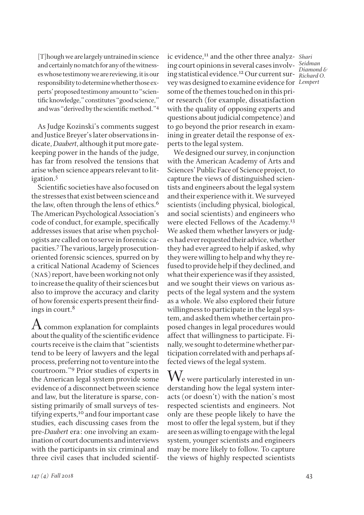[T]hough we are largely untrained in science and certainly no match for any of the witnesses whose testimony we are reviewing, it is our responsibility to determine whether those experts' proposed testimony amount to "scientific knowledge," constitutes "good science," and was "derived by the scientific method."4

As Judge Kozinski's comments suggest and Justice Breyer's later observations indicate, *Daubert*, although it put more gatekeeping power in the hands of the judge, has far from resolved the tensions that arise when science appears relevant to litigation.5

Scientific societies have also focused on the stresses that exist between science and the law, often through the lens of ethics.<sup>6</sup> The American Psychological Association's code of conduct, for example, specifically addresses issues that arise when psychologists are called on to serve in forensic capacities.7 The various, largely prosecutionoriented forensic sciences, spurred on by a critical National Academy of Sciences (nas) report, have been working not only to increase the quality of their sciences but also to improve the accuracy and clarity of how forensic experts present their findings in court.<sup>8</sup>

 ${\rm A}$  common explanation for complaints about the quality of the scientific evidence courts receive is the claim that "scientists tend to be leery of lawyers and the legal process, preferring not to venture into the courtroom."9 Prior studies of experts in the American legal system provide some evidence of a disconnect between science and law, but the literature is sparse, consisting primarily of small surveys of testifying experts,<sup>10</sup> and four important case studies, each discussing cases from the pre-*Daubert* era: one involving an examination of court documents and interviews with the participants in six criminal and three civil cases that included scientif-

ic evidence,<sup>11</sup> and the other three analyz- Shari *Seidman*  ing court opinions in several cases involving statistical evidence.<sup>12</sup> Our current sur-<br>*Richard O.* vey was designed to examine evidence for Lempert some of the themes touched on in this prior research (for example, dissatisfaction with the quality of opposing experts and questions about judicial competence) and to go beyond the prior research in examining in greater detail the response of experts to the legal system.

We designed our survey, in conjunction with the American Academy of Arts and Sciences' Public Face of Science project, to capture the views of distinguished scientists and engineers about the legal system and their experience with it. We surveyed scientists (including physical, biological, and social scientists) and engineers who were elected Fellows of the Academy.<sup>13</sup> We asked them whether lawyers or judges had ever requested their advice, whether they had ever agreed to help if asked, why they were willing to help and why they refused to provide help if they declined, and what their experience was if they assisted, and we sought their views on various aspects of the legal system and the system as a whole. We also explored their future willingness to participate in the legal system, and asked them whether certain proposed changes in legal procedures would affect that willingness to participate. Finally, we sought to determine whether participation correlated with and perhaps affected views of the legal system.

 $\textstyle{\textstyle{\rm W}}$ e were particularly interested in understanding how the legal system interacts (or doesn't) with the nation's most respected scientists and engineers. Not only are these people likely to have the most to offer the legal system, but if they are seen as willing to engage with the legal system, younger scientists and engineers may be more likely to follow. To capture the views of highly respected scientists

*Diamond &*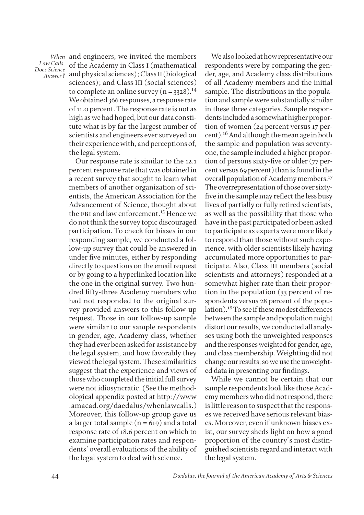*When*  and engineers, we invited the members *Law Calls,*  of the Academy in Class I (mathematical *Answer?*  and physical sciences); Class II (biological sciences); and Class III (social sciences) to complete an online survey  $(n = 3328).^{14}$ We obtained 366 responses, a response rate of 11.0 percent. The response rate is not as high as we had hoped, but our data constitute what is by far the largest number of scientists and engineers ever surveyed on their experience with, and perceptions of, the legal system.

> Our response rate is similar to the 12.1 percent response rate that was obtained in a recent survey that sought to learn what members of another organization of scientists, the American Association for the Advancement of Science, thought about the FBI and law enforcement.<sup>15</sup> Hence we do not think the survey topic discouraged participation. To check for biases in our responding sample, we conducted a follow-up survey that could be answered in under five minutes, either by responding directly to questions on the email request or by going to a hyperlinked location like the one in the original survey. Two hundred fifty-three Academy members who had not responded to the original survey provided answers to this follow-up request. Those in our follow-up sample were similar to our sample respondents in gender, age, Academy class, whether they had ever been asked for assistance by the legal system, and how favorably they viewed the legal system. These similarities suggest that the experience and views of those who completed the initial full survey were not idiosyncratic. (See the methodological appendix posted at http://www .amacad.org/daedalus/whenlawcalls.) Moreover, this follow-up group gave us a larger total sample  $(n = 619)$  and a total response rate of 18.6 percent on which to examine participation rates and respondents' overall evaluations of the ability of the legal system to deal with science.

We also looked at how representative our respondents were by comparing the gender, age, and Academy class distributions of all Academy members and the initial sample. The distributions in the population and sample were substantially similar in these three categories. Sample respondents included a somewhat higher proportion of women (24 percent versus 17 percent).16 And although the mean age in both the sample and population was seventyone, the sample included a higher proportion of persons sixty-five or older (77 percent versus 69 percent) than is found in the overall population of Academy members.17 The overrepresentation of those over sixtyfive in the sample may reflect the less busy lives of partially or fully retired scientists, as well as the possibility that those who have in the past participated or been asked to participate as experts were more likely to respond than those without such experience, with older scientists likely having accumulated more opportunities to participate. Also, Class III members (social scientists and attorneys) responded at a somewhat higher rate than their proportion in the population (33 percent of respondents versus 28 percent of the population).18 To see if these modest differences between the sample and population might distort our results, we conducted all analyses using both the unweighted responses and the responses weighted for gender, age, and class membership. Weighting did not change our results, so we use the unweighted data in presenting our findings.

While we cannot be certain that our sample respondents look like those Academy members who did not respond, there is little reason to suspect that the responses we received have serious relevant biases. Moreover, even if unknown biases exist, our survey sheds light on how a good proportion of the country's most distinguished scientists regard and interact with the legal system.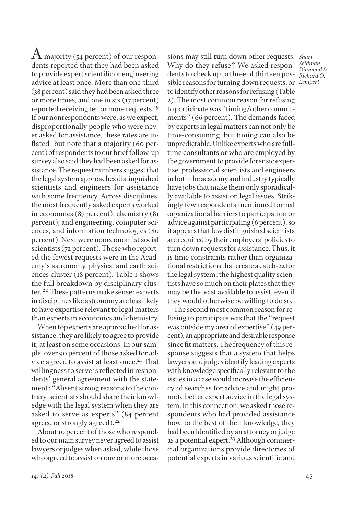$\rm A$  majority (54 percent) of our respondents reported that they had been asked to provide expert scientific or engineering advice at least once. More than one-third (38 percent) said they had been asked three or more times, and one in six (17 percent) reported receiving ten or more requests.<sup>19</sup> If our nonrespondents were, as we expect, disproportionally people who were never asked for assistance, these rates are inflated; but note that a majority (60 percent) of respondents to our brief follow-up survey also said they had been asked for assistance. The request numbers suggest that the legal system approaches distinguished scientists and engineers for assistance with some frequency. Across disciplines, the most frequently asked experts worked in economics (87 percent), chemistry (81 percent), and engineering, computer sciences, and information technologies (80 percent). Next were noneconomist social scientists (72 percent). Those who reported the fewest requests were in the Academy's astronomy, physics, and earth sciences cluster (18 percent). Table 1 shows the full breakdown by disciplinary cluster. 20 These patterns make sense: experts in disciplines like astronomy are less likely to have expertise relevant to legal matters than experts in economics and chemistry.

When top experts are approached for assistance, they are likely to agree to provide it, at least on some occasions. In our sample, over 90 percent of those asked for advice agreed to assist at least once.<sup>21</sup> That willingness to serve is reflected in respondents' general agreement with the statement: "Absent strong reasons to the contrary, scientists should share their knowledge with the legal system when they are asked to serve as experts" (84 percent agreed or strongly agreed).<sup>22</sup>

About 10 percent of those who responded to our main survey never agreed to assist lawyers or judges when asked, while those who agreed to assist on one or more occa-

sions may still turn down other requests. Shari Why do they refuse? We asked respon- Seidman dents to check up to three of thirteen pos-*Richard O.* sible reasons for turning down requests, or Lempert to identify other reasons for refusing (Table 2). The most common reason for refusing to participate was "timing/other commitments" (66 percent). The demands faced by experts in legal matters can not only be time-consuming, but timing can also be unpredictable. Unlike experts who are fulltime consultants or who are employed by the government to provide forensic expertise, professional scientists and engineers in both the academy and industry typically have jobs that make them only sporadically available to assist on legal issues. Strikingly few respondents mentioned formal organizational barriers to participation or advice against participating (6 percent), so it appears that few distinguished scientists are required by their employers' policies to turn down requests for assistance. Thus, it is time constraints rather than organizational restrictions that create a catch-22 for the legal system: the highest quality scientists have so much on their plates that they may be the least available to assist, even if they would otherwise be willing to do so.

The second most common reason for refusing to participate was that the "request was outside my area of expertise" (49 percent), an appropriate and desirable response since fit matters. The frequency of this response suggests that a system that helps lawyers and judges identify leading experts with knowledge specifically relevant to the issues in a case would increase the efficiency of searches for advice and might promote better expert advice in the legal system. In this connection, we asked those respondents who had provided assistance how, to the best of their knowledge, they had been identified by an attorney or judge as a potential expert.<sup>23</sup> Although commercial organizations provide directories of potential experts in various scientific and

*Diamond &*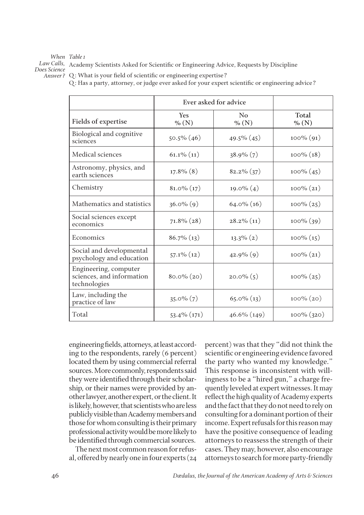#### *When Table 1*

*Does Science* 

*Law Calls,*  Academy Scientists Asked for Scientific or Engineering Advice, Requests by Discipline

*Answer?*  Q: What is your field of scientific or engineering expertise?

Q: Has a party, attorney, or judge ever asked for your expert scientific or engineering advice?

|                                                                    | Ever asked for advice |                         |                |
|--------------------------------------------------------------------|-----------------------|-------------------------|----------------|
| Fields of expertise                                                | <b>Yes</b><br>% (N)   | N <sub>0</sub><br>% (N) | Total<br>% (N) |
| Biological and cognitive<br>sciences                               | $50.5\%$ (46)         | $49.5\%$ (45)           | $100\%$ $(91)$ |
| Medical sciences                                                   | $61.1\%$ (11)         | $38.9\%$ (7)            | $100\%$ $(18)$ |
| Astronomy, physics, and<br>earth sciences                          | $17.8\%$ (8)          | $82.2\%$ (37)           | $100\%$ (45)   |
| Chemistry                                                          | $81.0\%$ (17)         | $19.0\%$ (4)            | $100\% (21)$   |
| Mathematics and statistics                                         | $36.0\%$ (9)          | $64.0\%$ (16)           | $100\% (25)$   |
| Social sciences except<br>economics                                | $71.8\%$ (28)         | $28.2\%$ (11)           | $100\%$ (39)   |
| Economics                                                          | $86.7\%$ (13)         | $13.3\%$ (2)            | $100\% (15)$   |
| Social and developmental<br>psychology and education               | $57.1\%$ (12)         | $42.9\%$ (9)            | $100\% (21)$   |
| Engineering, computer<br>sciences, and information<br>technologies | $80.0\%$ $(20)$       | $20.0\%$ (5)            | $100\% (25)$   |
| Law, including the<br>practice of law                              | $35.0\%$ (7)          | $65.0\%$ $(13)$         | $100\% (20)$   |
| Total                                                              | $53.4\%$ (171)        | $46.6\%$ (149)          | $100\%$ (320)  |

engineering fields, attorneys, at least according to the respondents, rarely (6 percent) located them by using commercial referral sources. More commonly, respondents said they were identified through their scholarship, or their names were provided by another lawyer, another expert, or the client. It is likely, however, that scientists who are less publicly visible than Academy members and those for whom consulting is their primary professional activity would be more likely to be identified through commercial sources.

The next most common reason for refusal, offered by nearly one in four experts (24 percent) was that they "did not think the scientific or engineering evidence favored the party who wanted my knowledge." This response is inconsistent with willingness to be a "hired gun," a charge frequently leveled at expert witnesses. It may reflect the high quality of Academy experts and the fact that they do not need to rely on consulting for a dominant portion of their income. Expert refusals for this reason may have the positive consequence of leading attorneys to reassess the strength of their cases. They may, however, also encourage attorneys to search for more party-friendly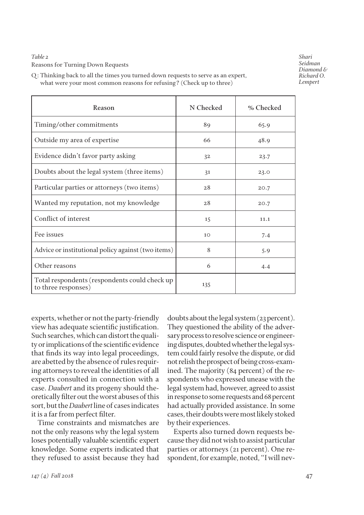# *Table 2*

Reasons for Turning Down Requests

Q: Thinking back to all the times you turned down requests to serve as an expert, what were your most common reasons for refusing? (Check up to three)

*Shari Seidman Diamond & Richard O. Lempert*

| Reason                                                               | N Checked | % Checked |
|----------------------------------------------------------------------|-----------|-----------|
| Timing/other commitments                                             | 89        | 65.9      |
| Outside my area of expertise                                         | 66        | 48.9      |
| Evidence didn't favor party asking                                   | 32        | 23.7      |
| Doubts about the legal system (three items)                          | 31        | 23.0      |
| Particular parties or attorneys (two items)                          | 28        | 20.7      |
| Wanted my reputation, not my knowledge                               | 28        | 20.7      |
| Conflict of interest                                                 | 15        | 11.1      |
| Fee issues                                                           | 10        | 7.4       |
| Advice or institutional policy against (two items)                   | 8         | 5.9       |
| Other reasons                                                        | 6         | 4.4       |
| Total respondents (respondents could check up<br>to three responses) | 135       |           |

experts, whether or not the party-friendly view has adequate scientific justification. Such searches, which can distort the quality or implications of the scientific evidence that finds its way into legal proceedings, are abetted by the absence of rules requiring attorneys to reveal the identities of all experts consulted in connection with a case. *Daubert* and its progeny should theoretically filter out the worst abuses of this sort, but the *Daubert* line of cases indicates it is a far from perfect filter.

Time constraints and mismatches are not the only reasons why the legal system loses potentially valuable scientific expert knowledge. Some experts indicated that they refused to assist because they had doubts about the legal system (23 percent). They questioned the ability of the adversary process to resolve science or engineering disputes, doubted whether the legal system could fairly resolve the dispute, or did not relish the prospect of being cross-examined. The majority (84 percent) of the respondents who expressed unease with the legal system had, however, agreed to assist in response to some requests and 68 percent had actually provided assistance. In some cases, their doubts were most likely stoked by their experiences.

Experts also turned down requests because they did not wish to assist particular parties or attorneys (21 percent). One respondent, for example, noted, "I will nev-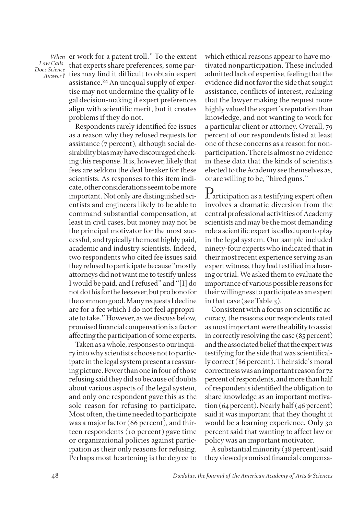*When*  er work for a patent troll." To the extent *Law Calls,*  that experts share preferences, some par-*Answer?*  ties may find it difficult to obtain expert assistance.<sup>24</sup> An unequal supply of expertise may not undermine the quality of legal decision-making if expert preferences align with scientific merit, but it creates problems if they do not.

> Respondents rarely identified fee issues as a reason why they refused requests for assistance (7 percent), although social desirability bias may have discouraged checking this response. It is, however, likely that fees are seldom the deal breaker for these scientists. As responses to this item indicate, other considerations seem to be more important. Not only are distinguished scientists and engineers likely to be able to command substantial compensation, at least in civil cases, but money may not be the principal motivator for the most successful, and typically the most highly paid, academic and industry scientists. Indeed, two respondents who cited fee issues said they refused to participate because "mostly attorneys did not want me to testify unless I would be paid, and I refused" and "[I] do not do this for the fees ever, but pro bono for the common good. Many requests I decline are for a fee which I do not feel appropriate to take." However, as we discuss below, promised financial compensation is a factor affecting the participation of some experts.

> Taken as a whole, responses to our inquiry into why scientists choose not to participate in the legal system present a reassuring picture. Fewer than one in four of those refusing said they did so because of doubts about various aspects of the legal system, and only one respondent gave this as the sole reason for refusing to participate. Most often, the time needed to participate was a major factor (66 percent), and thirteen respondents (10 percent) gave time or organizational policies against participation as their only reasons for refusing. Perhaps most heartening is the degree to

which ethical reasons appear to have motivated nonparticipation. These included admitted lack of expertise, feeling that the evidence did not favor the side that sought assistance, conflicts of interest, realizing that the lawyer making the request more highly valued the expert's reputation than knowledge, and not wanting to work for a particular client or attorney. Overall, 79 percent of our respondents listed at least one of these concerns as a reason for nonparticipation. There is almost no evidence in these data that the kinds of scientists elected to the Academy see themselves as, or are willing to be, "hired guns."

 $\rm P$ articipation as a testifying expert often involves a dramatic diversion from the central professional activities of Academy scientists and may be the most demanding role a scientific expert is called upon to play in the legal system. Our sample included ninety-four experts who indicated that in their most recent experience serving as an expert witness, they had testified in a hearing or trial. We asked them to evaluate the importance of various possible reasons for their willingness to participate as an expert in that case (see Table  $3$ ).

Consistent with a focus on scientific accuracy, the reasons our respondents rated as most important were the ability to assist in correctly resolving the case (85 percent) and the associated belief that the expert was testifying for the side that was scientifically correct (86 percent). Their side's moral correctness was an important reason for 72 percent of respondents, and more than half of respondents identified the obligation to share knowledge as an important motivation (64 percent). Nearly half (46 percent) said it was important that they thought it would be a learning experience. Only 30 percent said that wanting to affect law or policy was an important motivator.

A substantial minority (38 percent) said they viewed promised financial compensa-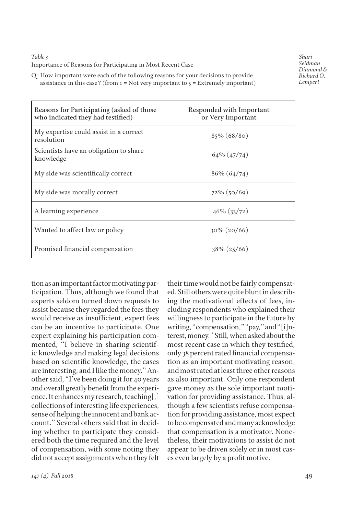## *Table 3* Importance of Reasons for Participating in Most Recent Case

*Shari Seidman Diamond & Richard O. Lempert*

| Q: How important were each of the following reasons for your decisions to provide     |  |  |
|---------------------------------------------------------------------------------------|--|--|
| assistance in this case? (from $1 = Not$ very important to $5 = Extremely$ important) |  |  |

| Reasons for Participating (asked of those<br>who indicated they had testified) | Responded with Important<br>or Very Important |
|--------------------------------------------------------------------------------|-----------------------------------------------|
| My expertise could assist in a correct<br>resolution                           | $85\% (68/80)$                                |
| Scientists have an obligation to share<br>knowledge                            | $64\%$ (47/74)                                |
| My side was scientifically correct                                             | $86\% (64/74)$                                |
| My side was morally correct                                                    | $72\%$ (50/69)                                |
| A learning experience                                                          | $46\%$ (33/72)                                |
| Wanted to affect law or policy                                                 | $30\% (20/66)$                                |
| Promised financial compensation                                                | $38\% (25/66)$                                |

tion as an important factor motivating participation. Thus, although we found that experts seldom turned down requests to assist because they regarded the fees they would receive as insufficient, expert fees can be an incentive to participate. One expert explaining his participation commented, "I believe in sharing scientific knowledge and making legal decisions based on scientific knowledge, the cases are interesting, and I like the money." Another said, "I've been doing it for 40 years and overall greatly benefit from the experience. It enhances my research, teaching[,] collections of interesting life experiences, sense of helping the innocent and bank account." Several others said that in deciding whether to participate they considered both the time required and the level of compensation, with some noting they did not accept assignments when they felt their time would not be fairly compensated. Still others were quite blunt in describing the motivational effects of fees, including respondents who explained their willingness to participate in the future by writing, "compensation," "pay," and "[i]nterest, money." Still, when asked about the most recent case in which they testified, only 38 percent rated financial compensation as an important motivating reason, and most rated at least three other reasons as also important. Only one respondent gave money as the sole important motivation for providing assistance. Thus, although a few scientists refuse compensation for providing assistance, most expect to be compensated and many acknowledge that compensation is a motivator. Nonetheless, their motivations to assist do not appear to be driven solely or in most cases even largely by a profit motive.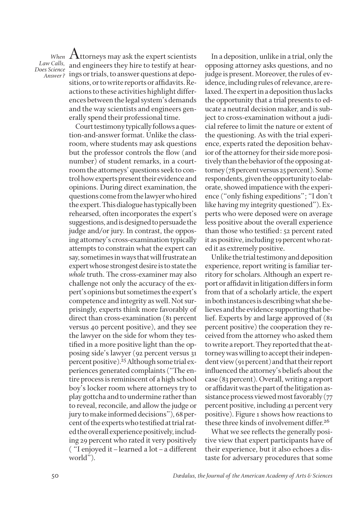*When*  $\overline{\mathbf{A}}$ ttorneys may ask the expert scientists *Law Calls,*  and engineers they hire to testify at hear-*Answer?*  ings or trials, to answer questions at depositions, or to write reports or affidavits. Reactions to these activities highlight differences between the legal system's demands and the way scientists and engineers generally spend their professional time.

Court testimony typically follows a question-and-answer format. Unlike the classroom, where students may ask questions but the professor controls the flow (and number) of student remarks, in a courtroom the attorneys' questions seek to control how experts present their evidence and opinions. During direct examination, the questions come from the lawyer who hired the expert. This dialogue has typically been rehearsed, often incorporates the expert's suggestions, and is designed to persuade the judge and/or jury. In contrast, the opposing attorney's cross-examination typically attempts to constrain what the expert can say, sometimes in ways that will frustrate an expert whose strongest desire is to state the *whole* truth. The cross-examiner may also challenge not only the accuracy of the expert's opinions but sometimes the expert's competence and integrity as well. Not surprisingly, experts think more favorably of direct than cross-examination (81 percent versus 40 percent positive), and they see the lawyer on the side for whom they testified in a more positive light than the opposing side's lawyer (92 percent versus 31 percent positive).<sup>25</sup> Although some trial experiences generated complaints ("The entire process is reminiscent of a high school boy's locker room where attorneys try to play gottcha and to undermine rather than to reveal, reconcile, and allow the judge or jury to make informed decisions"), 68 percent of the experts who testified at trial rated the overall experience positively, including 29 percent who rated it very positively ( "I enjoyed it–learned a lot–a different world").

In a deposition, unlike in a trial, only the opposing attorney asks questions, and no judge is present. Moreover, the rules of evidence, including rules of relevance, are relaxed. The expert in a deposition thus lacks the opportunity that a trial presents to educate a neutral decision maker, and is subject to cross-examination without a judicial referee to limit the nature or extent of the questioning. As with the trial experience, experts rated the deposition behavior of the attorney for their side more positively than the behavior of the opposing attorney (78 percent versus 25 percent). Some respondents, given the opportunity to elaborate, showed impatience with the experience ("only fishing expeditions"; "I don't like having my integrity questioned"). Experts who were deposed were on average less positive about the overall experience than those who testified: 52 percent rated it as positive, including 19 percent who rated it as extremely positive.

Unlike the trial testimony and deposition experience, report writing is familiar territory for scholars. Although an expert report or affidavit in litigation differs in form from that of a scholarly article, the expert in both instances is describing what she believes and the evidence supporting that belief. Experts by and large approved of (81 percent positive) the cooperation they received from the attorney who asked them to write a report. They reported that the attorney was willing to accept their independent view (91 percent) and that their report influenced the attorney's beliefs about the case (83 percent). Overall, writing a report or affidavit was the part of the litigation assistance process viewed most favorably (77 percent positive, including 41 percent very positive). Figure 1 shows how reactions to these three kinds of involvement differ.<sup>26</sup>

What we see reflects the generally positive view that expert participants have of their experience, but it also echoes a distaste for adversary procedures that some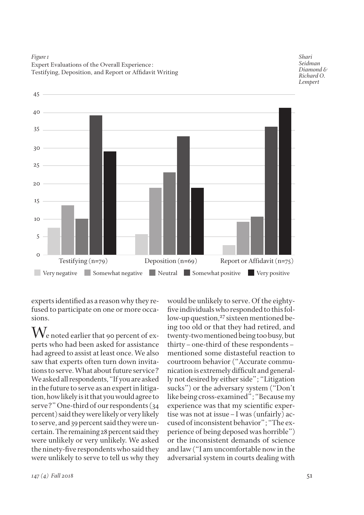*Figure 1* Expert Evaluations of the Overall Experience: Testifying, Deposition, and Report or Affidavit Writing

*Shari Seidman Diamond & Richard O. Lempert*



experts identified as a reason why they refused to participate on one or more occasions.

 $\boldsymbol{\mathsf{V}}$ e noted earlier that 90 percent of experts who had been asked for assistance had agreed to assist at least once. We also saw that experts often turn down invitations to serve. What about future service? We asked all respondents, "If you are asked in the future to serve as an expert in litigation, how likely is it that you would agree to serve?" One-third of our respondents (34 percent) said they were likely or very likely to serve, and 39 percent said they were uncertain. The remaining 28 percent said they were unlikely or very unlikely. We asked the ninety-five respondents who said they were unlikely to serve to tell us why they would be unlikely to serve. Of the eightyfive individuals who responded to this follow-up question,<sup>27</sup> sixteen mentioned being too old or that they had retired, and twenty-two mentioned being too busy, but thirty–one-third of these respondents– mentioned some distasteful reaction to courtroom behavior ("Accurate communication is extremely difficult and generally not desired by either side"; "Litigation sucks") or the adversary system ("Don't like being cross-examined"; "Because my experience was that my scientific expertise was not at issue–I was (unfairly) accused of inconsistent behavior"; "The experience of being deposed was horrible") or the inconsistent demands of science and law ("I am uncomfortable now in the adversarial system in courts dealing with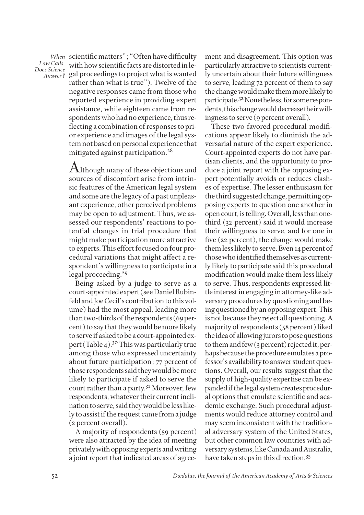*When*  scientific matters"; "Often have difficulty *Law Calls,*  with how scientific facts are distorted in le-*Answer?*  gal proceedings to project what is wanted rather than what is true"). Twelve of the negative responses came from those who reported experience in providing expert assistance, while eighteen came from respondents who had no experience, thus reflecting a combination of responses to prior experience and images of the legal system not based on personal experience that mitigated against participation.<sup>28</sup>

> ${\rm A}$ lthough many of these objections and sources of discomfort arise from intrinsic features of the American legal system and some are the legacy of a past unpleasant experience, other perceived problems may be open to adjustment. Thus, we assessed our respondents' reactions to potential changes in trial procedure that might make participation more attractive to experts. This effort focused on four procedural variations that might affect a respondent's willingness to participate in a legal proceeding.<sup>29</sup>

> Being asked by a judge to serve as a court-appointed expert (see Daniel Rubinfeld and Joe Cecil's contribution to this volume) had the most appeal, leading more than two-thirds of the respondents (69 percent) to say that they would be more likely to serve if asked to be a court-appointed expert (Table 4).30 This was particularly true among those who expressed uncertainty about future participation; 77 percent of those respondents said they would be more likely to participate if asked to serve the court rather than a party.<sup>31</sup> Moreover, few respondents, whatever their current inclination to serve, said they would be less likely to assist if the request came from a judge (2 percent overall).

> A majority of respondents (59 percent) were also attracted by the idea of meeting privately with opposing experts and writing a joint report that indicated areas of agree

ment and disagreement. This option was particularly attractive to scientists currently uncertain about their future willingness to serve, leading 72 percent of them to say the change would make them more likely to participate.32 Nonetheless, for some respondents, this change would decrease their willingness to serve (9 percent overall).

These two favored procedural modifications appear likely to diminish the adversarial nature of the expert experience. Court-appointed experts do not have partisan clients, and the opportunity to produce a joint report with the opposing expert potentially avoids or reduces clashes of expertise. The lesser enthusiasm for the third suggested change, permitting opposing experts to question one another in open court, is telling. Overall, less than onethird (32 percent) said it would increase their willingness to serve, and for one in five (22 percent), the change would make them less likely to serve. Even 14 percent of those who identified themselves as currently likely to participate said this procedural modification would make them less likely to serve. Thus, respondents expressed little interest in engaging in attorney-like adversary procedures by questioning and being questioned by an opposing expert. This is not because they reject all questioning. A majority of respondents (58 percent) liked the idea of allowing jurors to pose questions to them and few (3 percent) rejected it, perhaps because the procedure emulates a professor's availability to answer student questions. Overall, our results suggest that the supply of high-quality expertise can be expanded if the legal system creates procedural options that emulate scientific and academic exchange. Such procedural adjustments would reduce attorney control and may seem inconsistent with the traditional adversary system of the United States, but other common law countries with adversary systems, like Canada and Australia, have taken steps in this direction.<sup>33</sup>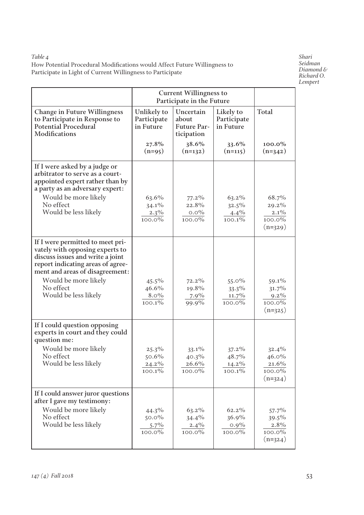*Table 4* How Potential Procedural Modifications would Affect Future Willingness to Participate in Light of Current Willingness to Participate

*Shari Seidman Diamond & Richard O. Lempert*

|                                                                                                                                                                                                                                              | <b>Current Willingness to</b><br>Participate in the Future |                                                        |                                            |                                                        |
|----------------------------------------------------------------------------------------------------------------------------------------------------------------------------------------------------------------------------------------------|------------------------------------------------------------|--------------------------------------------------------|--------------------------------------------|--------------------------------------------------------|
| <b>Change in Future Willingness</b><br>to Participate in Response to<br><b>Potential Procedural</b><br>Modifications                                                                                                                         | Unlikely to<br>Participate<br>in Future                    | Uncertain<br>about<br><b>Future Par-</b><br>ticipation | Likely to<br>Participate<br>in Future      | Total                                                  |
|                                                                                                                                                                                                                                              | 27.8%<br>$(n=95)$                                          | 38.6%<br>$(n=132)$                                     | 33.6%<br>$(n=115)$                         | 100.0%<br>$(n=342)$                                    |
| If I were asked by a judge or<br>arbitrator to serve as a court-<br>appointed expert rather than by<br>a party as an adversary expert:<br>Would be more likely<br>No effect<br>Would be less likely                                          | 63.6%<br>$34.1\%$<br>$2.3\%$<br>100.0%                     | $77.2\%$<br>22.8%<br>$0.0\%$<br>100.0%                 | 63.2%<br>$32.5\%$<br>$4.4\%$<br>$100.1\%$  | 68.7%<br>29.2%<br>$2.1\%$<br>100.0%<br>$(n=329)$       |
| If I were permitted to meet pri-<br>vately with opposing experts to<br>discuss issues and write a joint<br>report indicating areas of agree-<br>ment and areas of disagreement:<br>Would be more likely<br>No effect<br>Would be less likely | $45.5\%$<br>46.6%<br>$8.0\%$<br>$100.1\%$                  | 72.2%<br>19.8%<br>$7.9\%$<br>99.9%                     | $55.0\%$<br>$33.3\%$<br>$11.7\%$<br>100.0% | $59.1\%$<br>$31.7\%$<br>$9.2\%$<br>100.0%<br>$(n=325)$ |
| If I could question opposing<br>experts in court and they could<br>question me:<br>Would be more likely<br>No effect<br>Would be less likely                                                                                                 | $25.3\%$<br>50.6%<br>$24.2\%$<br>$100.1\%$                 | $33.1\%$<br>$40.3\%$<br>$26.6\%$<br>$100.0\%$          | $37.2\%$<br>48.7%<br>$14.2\%$<br>$100.1\%$ | $32.4\%$<br>46.0%<br>21.6%<br>100.0%<br>$(n=324)$      |
| If I could answer juror questions<br>after I gave my testimony:<br>Would be more likely<br>No effect<br>Would be less likely                                                                                                                 | $44.3\%$<br>$50.0\%$<br>$5.7\%$<br>100.0%                  | 63.2%<br>$34.4\%$<br>$2.4\%$<br>100.0%                 | 62.2%<br>$36.9\%$<br>$0.9\%$<br>100.0%     | $57.7\%$<br>$39.5\%$<br>$2.8\%$<br>100.0%<br>$(n=324)$ |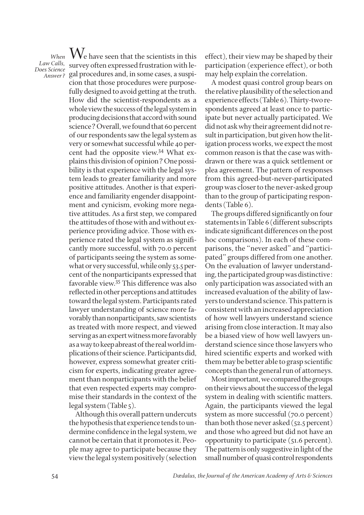*When Does Science* 

*Law Calls,*  survey often expressed frustration with le-*Answer?*  gal procedures and, in some cases, a suspi-We have seen that the scientists in this cion that those procedures were purposefully designed to avoid getting at the truth. How did the scientist-respondents as a whole view the success of the legal system in producing decisions that accord with sound science? Overall, we found that 60 percent of our respondents saw the legal system as very or somewhat successful while 40 percent had the opposite view.34 What explains this division of opinion? One possibility is that experience with the legal system leads to greater familiarity and more positive attitudes. Another is that experience and familiarity engender disappointment and cynicism, evoking more negative attitudes. As a first step, we compared the attitudes of those with and without experience providing advice. Those with experience rated the legal system as significantly more successful, with 70.0 percent of participants seeing the system as somewhat or very successful, while only 53.5 percent of the nonparticipants expressed that favorable view.35 This difference was also reflected in other perceptions and attitudes toward the legal system. Participants rated lawyer understanding of science more favorably than nonparticipants, saw scientists as treated with more respect, and viewed serving as an expert witness more favorably as a way to keep abreast of the real world implications of their science. Participants did, however, express somewhat greater criticism for experts, indicating greater agreement than nonparticipants with the belief that even respected experts may compromise their standards in the context of the legal system (Table 5).

> Although this overall pattern undercuts the hypothesis that experience tends to undermine confidence in the legal system, we cannot be certain that it promotes it. People may agree to participate because they view the legal system positively (selection

effect), their view may be shaped by their participation (experience effect), or both may help explain the correlation.

A modest quasi control group bears on the relative plausibility of the selection and experience effects (Table 6). Thirty-two respondents agreed at least once to participate but never actually participated. We did not ask why their agreement did not result in participation, but given how the litigation process works, we expect the most common reason is that the case was withdrawn or there was a quick settlement or plea agreement. The pattern of responses from this agreed-but-never-participated group was closer to the never-asked group than to the group of participating respondents (Table 6).

The groups differed significantly on four statements in Table 6 (different subscripts indicate significant differences on the post hoc comparisons). In each of these comparisons, the "never asked" and "participated" groups differed from one another. On the evaluation of lawyer understanding, the participated group was distinctive: only participation was associated with an increased evaluation of the ability of lawyers to understand science. This pattern is consistent with an increased appreciation of how well lawyers understand science arising from close interaction. It may also be a biased view of how well lawyers understand science since those lawyers who hired scientific experts and worked with them may be better able to grasp scientific concepts than the general run of attorneys.

Most important, we compared the groups on their views about the success of the legal system in dealing with scientific matters. Again, the participants viewed the legal system as more successful (70.0 percent) than both those never asked (52.5 percent) and those who agreed but did not have an opportunity to participate (51.6 percent). The pattern is only suggestive in light of the small number of quasi control respondents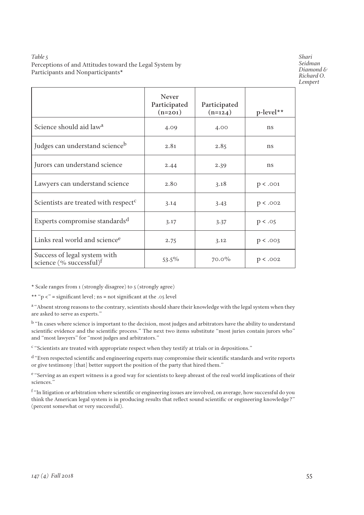## *Table 5* Perceptions of and Attitudes toward the Legal System by Participants and Nonparticipants\*

*Shari Seidman Diamond & Richard O. Lempert*

|                                                                     | <b>Never</b><br>Participated<br>$(n=201)$ | Participated<br>$(n=124)$ | p-level** |
|---------------------------------------------------------------------|-------------------------------------------|---------------------------|-----------|
| Science should aid law <sup>a</sup>                                 | 4.09                                      | 4.00                      | ns        |
| Judges can understand scienceb                                      | 2.81                                      | 2.85                      | ns        |
| Jurors can understand science                                       | 2.44                                      | 2.39                      | ns        |
| Lawyers can understand science                                      | 2.80                                      | 3.18                      | p < .001  |
| Scientists are treated with respect <sup>c</sup>                    | 3.14                                      | 3.43                      | p < .002  |
| Experts compromise standards <sup>d</sup>                           | 3.17                                      | 3.37                      | p < .05   |
| Links real world and science <sup>e</sup>                           | 2.75                                      | 3.12                      | p < .003  |
| Success of legal system with<br>science (% successful) <sup>f</sup> | $53.5\%$                                  | $70.0\%$                  | p < .002  |

\* Scale ranges from 1 (strongly disagree) to 5 (strongly agree)

\*\* " $p <$ " = significant level; ns = not significant at the .05 level

a "Absent strong reasons to the contrary, scientists should share their knowledge with the legal system when they are asked to serve as experts."

b "In cases where science is important to the decision, most judges and arbitrators have the ability to understand scientific evidence and the scientific process." The next two items substitute "most juries contain jurors who" and "most lawyers" for "most judges and arbitrators."

 $c$  "Scientists are treated with appropriate respect when they testify at trials or in depositions."

d "Even respected scientific and engineering experts may compromise their scientific standards and write reports or give testimony [that] better support the position of the party that hired them."

e "Serving as an expert witness is a good way for scientists to keep abreast of the real world implications of their sciences."

f "In litigation or arbitration where scientific or engineering issues are involved, on average, how successful do you think the American legal system is in producing results that reflect sound scientific or engineering knowledge?" (percent somewhat or very successful).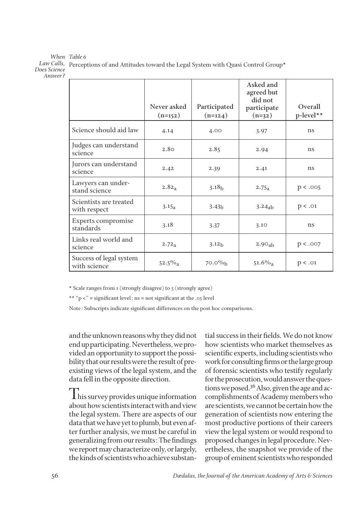*When Table 6*

*Law Calls,*  Perceptions of and Attitudes toward the Legal System with Quasi Control Group\* *Does Science* 

*Answer?* 

|                                         | Never asked<br>$(n=152)$ | Participated<br>$(n=124)$ | Asked and<br>agreed but<br>did not<br>participate<br>$(n=32)$ | Overall<br>p-level** |
|-----------------------------------------|--------------------------|---------------------------|---------------------------------------------------------------|----------------------|
| Science should aid law                  | 4.14                     | 4.00                      | 3.97                                                          | ns                   |
| Judges can understand<br>science        | 2.80                     | 2.85                      | 2.94                                                          | ns                   |
| Jurors can understand<br>science        | 2.42                     | 2.39                      | 2.41                                                          | ns                   |
| Lawyers can under-<br>stand science     | $2.82_a$                 | 3.18 <sub>h</sub>         | 2.75a                                                         | p < .005             |
| Scientists are treated<br>with respect  | $3.15_a$                 | 3.43 <sub>b</sub>         | 3.24ab                                                        | p < .01              |
| Experts compromise<br>standards         | 3.18                     | 3.37                      | 3.10                                                          | ns                   |
| Links real world and<br>science         | $2.72_a$                 | 3.12 <sub>h</sub>         | 2.90 <sub>ab</sub>                                            | p < .007             |
| Success of legal system<br>with science | $52.5\%$ <sub>a</sub>    | $70.0\%$ <sub>b</sub>     | $51.6\%$ <sub>a</sub>                                         | p < .01              |

\* Scale ranges from 1 (strongly disagree) to 5 (strongly agree)

\*\* " $p <$ " = significant level; ns = not significant at the .05 level

Note: Subscripts indicate significant differences on the post hoc comparisons.

and the unknown reasons why they did not end up participating. Nevertheless, we provided an opportunity to support the possibility that our results were the result of preexisting views of the legal system, and the data fell in the opposite direction.

This survey provides unique information about how scientists interact with and view the legal system. There are aspects of our data that we have yet to plumb, but even after further analysis, we must be careful in generalizing from our results: The findings we report may characterize only, or largely, the kinds of scientists who achieve substantial success in their fields. We do not know how scientists who market themselves as scientific experts, including scientists who work for consulting firms or the large group of forensic scientists who testify regularly for the prosecution, would answer the questions we posed.<sup>36</sup> Also, given the age and accomplishments of Academy members who are scientists, we cannot be certain how the generation of scientists now entering the most productive portions of their careers view the legal system or would respond to proposed changes in legal procedure. Nevertheless, the snapshot we provide of the group of eminent scientists who responded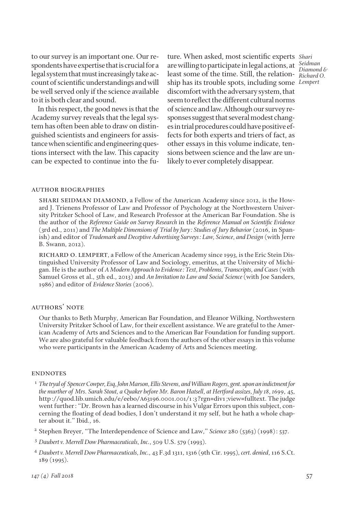to our survey is an important one. Our respondents have expertise that is crucial for a legal system that must increasingly take account of scientific understandings and will be well served only if the science available to it is both clear and sound.

In this respect, the good news is that the Academy survey reveals that the legal system has often been able to draw on distinguished scientists and engineers for assistance when scientific and engineering questions intersect with the law. This capacity can be expected to continue into the fu-

ture. When asked, most scientific experts Shari are willing to participate in legal actions, at *Seidman* least some of the time. Still, the relation-**Richard O.** *Lempert* ship has its trouble spots, including some discomfort with the adversary system, that seem to reflect the different cultural norms of science and law. Although our survey responses suggest that several modest changes in trial procedures could have positive effects for both experts and triers of fact, as other essays in this volume indicate, tensions between science and the law are unlikely to ever completely disappear.

*Diamond &* 

#### author biographies

SHARI SEIDMAN DIAMOND, a Fellow of the American Academy since 2012, is the Howard J. Trienens Professor of Law and Professor of Psychology at the Northwestern University Pritzker School of Law, and Research Professor at the American Bar Foundation. She is the author of the *Reference Guide on Survey Research* in the *[Reference Manual on Scientific Evidence](http://www.law.northwestern.edu/faculty/fulltime/diamond/papers/ReferenceGuideSurveyResearch.pdf)* [\(3rd ed., 2011\)](http://www.law.northwestern.edu/faculty/fulltime/diamond/papers/ReferenceGuideSurveyResearch.pdf) [a](http://www.law.northwestern.edu/faculty/fulltime/diamond/papers/ReferenceGuideSurveyResearch.pdf)nd *The Multiple Dimensions of Trial by Jury: Studies of Jury Behavior* (2016, in Spanish) and editor of *Trademark and Deceptive Advertising Surveys: Law, Science, and Design* (with Jerre B. Swann, 2012).

RICHARD O. LEMPERT, a Fellow of the American Academy since 1993, is the Eric Stein Distinguished University Professor of Law and Sociology, emeritus, at the University of Michigan. He is the author of *A Modern Approach to Evidence: Text, Problems, Transcripts, and Cases* (with Samuel Gross et al., 5th ed., 2013) and *An Invitation to Law and Social Science* (with Joe Sanders, 1986) and editor of *Evidence Stories* (2006).

## **AUTHORS' NOTE**

Our thanks to Beth Murphy, American Bar Foundation, and Eleanor Wilking, Northwestern University Pritzker School of Law, for their excellent assistance. We are grateful to the American Academy of Arts and Sciences and to the American Bar Foundation for funding support. We are also grateful for valuable feedback from the authors of the other essays in this volume who were participants in the American Academy of Arts and Sciences meeting.

#### **ENDNOTES**

- <sup>1</sup> *The tryal of Spencer Cowper, Esq, John Marson, Ellis Stevens, and William Rogers, gent. upon an indictment for the murther of Mrs. Sarah Stout, a Quaker before Mr. Baron Hatsell, at Hertford assizes, July 18, 1699*, 45, http://quod.lib.umich.edu/e/eebo/A[63196.0001.001/1:3?rgn=div1;view=fulltext.](http://quod.lib.umich.edu/e/eebo/A63196.0001.001/1:3?rgn=div1;view=fulltext) The judge went further: "Dr. Brown has a learned discourse in his Vulgar Errors upon this subject, concerning the floating of dead bodies, I don't understand it my self, but he hath a whole chapter about it." Ibid., 16.
- <sup>2</sup> Stephen Breyer, "The Interdependence of Science and Law," *Science* 280 (5363) (1998): 537.
- <sup>3</sup> *Daubert v. Merrell Dow Pharmaceuticals, Inc.*, 509 U.S. 579 (1993).
- <sup>4</sup> *Daubert v. Merrell Dow Pharmaceuticals, Inc.*, 43 F.3d 1311, 1316 (9th Cir. 1995), *cert. denied*, 116 S.Ct. 189 (1995).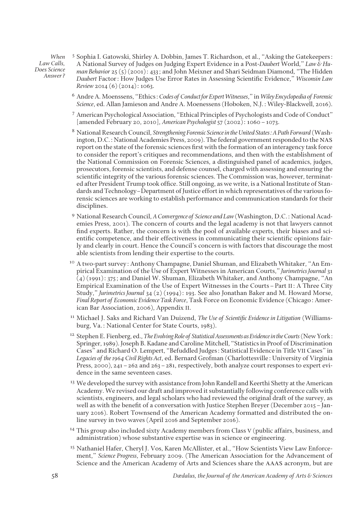*When Law Calls, Does Science Answer?* 

- <sup>5</sup> Sophia I. Gatowski, Shirley A. Dobbin, James T. Richardson, et al., "Asking the Gatekeepers: A National Survey of Judges on Judging Expert Evidence in a Post-*Daubert* World," *Law & Human Behavior* 25 (5) (2001): 433; and John Meixner and Shari Seidman Diamond, "The Hidden *Daubert* Factor: How Judges Use Error Rates in Assessing Scientific Evidence," *Wisconsin Law Review* 2014 (6) (2014): 1063.
- <sup>6</sup> Andre A. Moenssens, "Ethics: *Codes of Conduct for Expert Witnesses*," in *Wiley Encyclopedia of Forensic Science*, ed. Allan Jamieson and Andre A. Moenessens (Hoboken, N.J.: Wiley-Blackwell, 2016).
- <sup>7</sup> American Psychological Association, "Ethical Principles of Psychologists and Code of Conduct" [amended February 20, 2010], *American Psychologist* 57 (2002): 1060–1073.
- <sup>8</sup> National Research Council, *Strengthening Forensic Science in the United States: A Path Forward* (Washington, D.C.: National Academies Press, 2009). The federal government responded to the NAS report on the state of the forensic sciences first with the formation of an interagency task force to consider the report's critiques and recommendations, and then with the establishment of the National Commission on Forensic Sciences, a distinguished panel of academics, judges, prosecutors, forensic scientists, and defense counsel, charged with assessing and ensuring the scientific integrity of the various forensic sciences. The Commission was, however, terminated after President Trump took office. Still ongoing, as we write, is a National Institute of Standards and Technology–Department of Justice effort in which representatives of the various forensic sciences are working to establish performance and communication standards for their disciplines.
- <sup>9</sup> National Research Council, *A Convergence of Science and Law* (Washington, D.C.: National Academies Press, 2001). The concern of courts and the legal academy is not that lawyers cannot find experts. Rather, the concern is with the pool of available experts, their biases and scientific competence, and their effectiveness in communicating their scientific opinions fairly and clearly in court. Hence the Council's concern is with factors that discourage the most able scientists from lending their expertise to the courts.
- <sup>10</sup> A two-part survey: Anthony Champagne, Daniel Shuman, and Elizabeth Whitaker, "An Empirical Examination of the Use of Expert Witnesses in American Courts," *Jurimetrics Journal* 31 (4) (1991): 375; and Daniel W. Shuman, Elizabeth Whitaker, and Anthony Champagne, "An Empirical Examination of the Use of Expert Witnesses in the Courts–Part II: A Three City Study," *Jurimetrics Journal* 34 (2) (1994): 193. See also Jonathan Baker and M. Howard Morse, *Final Report of Economic Evidence Task Force*, Task Force on Economic Evidence (Chicago: American Bar Association, 2006), Appendix II.
- <sup>11</sup> Michael J. Saks and Richard Van Duizend, *The Use of Scientific Evidence in Litigation* (Williamsburg, Va.: National Center for State Courts, 1983).
- <sup>12</sup> Stephen E. Fienberg, ed., *The Evolving Role of Statistical Assessments as Evidence in the Courts* (New York: Springer, 1989). Joseph B. Kadane and Caroline Mitchell, "Statistics in Proof of Discrimination Cases" and Richard O. Lempert, "Befuddled Judges: Statistical Evidence in Title VII Cases" in *Legacies of the 1964 Civil Rights Act*, ed. Bernard Grofman (Charlottesville: University of Virginia Press, 2000), 241 – 262 and 263 – 281, respectively, both analyze court responses to expert evidence in the same seventeen cases.
- <sup>13</sup> We developed the survey with assistance from John Randell and Keerthi Shetty at the American Academy. We revised our draft and improved it substantially following conference calls with scientists, engineers, and legal scholars who had reviewed the original draft of the survey, as well as with the benefit of a conversation with Justice Stephen Breyer (December 2015–January 2016). Robert Townsend of the American Academy formatted and distributed the online survey in two waves (April 2016 and September 2016).
- <sup>14</sup> This group also included sixty Academy members from Class V (public affairs, business, and administration) whose substantive expertise was in science or engineering.
- <sup>15</sup> Nathaniel Hafer, Cheryl J. Vos, Karen McAllister, et al., "How Scientists View Law Enforcement," *Science Progress*, February 2009. (The American Association for the Advancement of Science and the American Academy of Arts and Sciences share the AAAS acronym, but are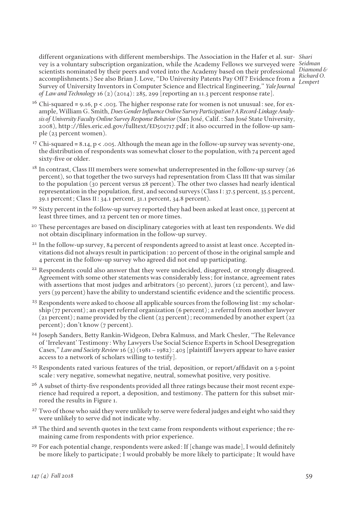different organizations with different memberships. The Association in the Hafer et al. sur- Shari vey is a voluntary subscription organization, while the Academy Fellows we surveyed were Seidman *Diamond &*  scientists nominated by their peers and voted into the Academy based on their professional accomplishments.) See also Brian J. Love, "Do University Patents Pay Off? Evidence from a Survey of University Inventors in Computer Science and Electrical Engineering," *Yale Journal of Law and Technology* 16 (2) (2014): 285, 299 [reporting an 11.3 percent response rate].

*Richard O. Lempert*

- <sup>16</sup> Chi-squared = 9.16, p < .003. The higher response rate for women is not unusual: see, for example, William G. Smith, *Does Gender Influence Online Survey Participation? A Record-Linkage Analysis of University Faculty Online Survey Response Behavior* (San José, Calif.: San José State University, 2008), [http://files.eric.ed.gov/fulltext/](http://files.eric.ed.gov/fulltext/ED501717.pdf)ED501717.pdf; it also occurred in the follow-up sample (23 percent women).
- <sup>17</sup> Chi-squared = 8.14,  $p < .005$ . Although the mean age in the follow-up survey was seventy-one, the distribution of respondents was somewhat closer to the population, with 74 percent aged sixty-five or older.
- $18$  In contrast, Class III members were somewhat underrepresented in the follow-up survey (26 percent), so that together the two surveys had representation from Class III that was similar to the population (30 percent versus 28 percent). The other two classes had nearly identical representation in the population, first, and second surveys (Class I: 37.5 percent, 35.5 percent, 39.1 percent; Class II: 34.1 percent, 31.1 percent, 34.8 percent).
- <sup>19</sup> Sixty percent in the follow-up survey reported they had been asked at least once, 33 percent at least three times, and 12 percent ten or more times.
- $20$  These percentages are based on disciplinary categories with at least ten respondents. We did not obtain disciplinary information in the follow-up survey.
- <sup>21</sup> In the follow-up survey, 84 percent of respondents agreed to assist at least once. Accepted invitations did not always result in participation: 20 percent of those in the original sample and 4 percent in the follow-up survey who agreed did not end up participating.
- <sup>22</sup> Respondents could also answer that they were undecided, disagreed, or strongly disagreed. Agreement with some other statements was considerably less; for instance, agreement rates with assertions that most judges and arbitrators (30 percent), jurors (12 percent), and lawyers (39 percent) have the ability to understand scientific evidence and the scientific process.
- <sup>23</sup> Respondents were asked to choose all applicable sources from the following list: my scholarship (77 percent); an expert referral organization (6 percent); a referral from another lawyer (21 percent); name provided by the client (23 percent); recommended by another expert (22 percent); don't know (7 percent).
- <sup>24</sup> Joseph Sanders, Betty Rankin-Widgeon, Debra Kalmuss, and Mark Chesler, "The Relevance of 'Irrelevant' Testimony: Why Lawyers Use Social Science Experts in School Desegregation Cases," *Law and Society Review* 16 (3) (1981–1982): 403 [plaintiff lawyers appear to have easier access to a network of scholars willing to testify].
- <sup>25</sup> Respondents rated various features of the trial, deposition, or report/affidavit on a 5-point scale: very negative, somewhat negative, neutral, somewhat positive, very positive.
- <sup>26</sup> A subset of thirty-five respondents provided all three ratings because their most recent experience had required a report, a deposition, and testimony. The pattern for this subset mirrored the results in Figure 1.
- <sup>27</sup> Two of those who said they were unlikely to serve were federal judges and eight who said they were unlikely to serve did not indicate why.
- $2<sup>8</sup>$  The third and seventh quotes in the text came from respondents without experience; the remaining came from respondents with prior experience.
- $29$  For each potential change, respondents were asked: If [change was made], I would definitely be more likely to participate; I would probably be more likely to participate; It would have